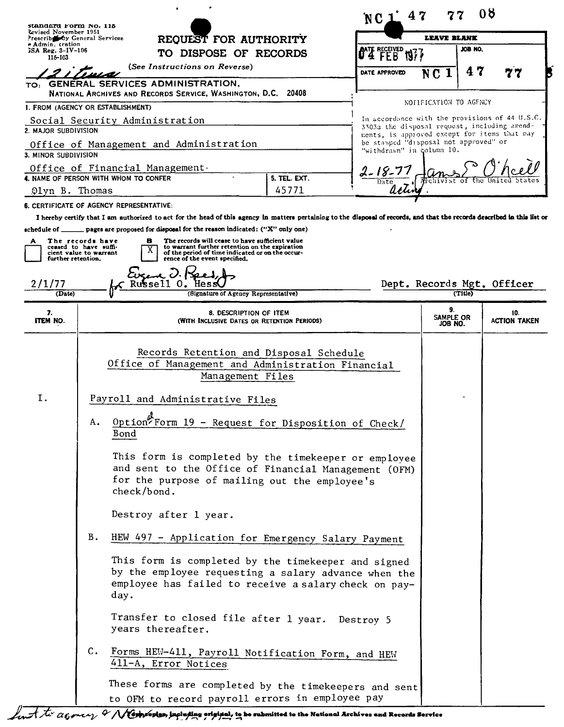| standard Form No. 115                                  |                                                                     |                                                                                                                                                                                                                                                                                            |              | 47<br>NC 1                                                                                                         |                                       | 08      |                            |
|--------------------------------------------------------|---------------------------------------------------------------------|--------------------------------------------------------------------------------------------------------------------------------------------------------------------------------------------------------------------------------------------------------------------------------------------|--------------|--------------------------------------------------------------------------------------------------------------------|---------------------------------------|---------|----------------------------|
| Revised November 1951<br>Prescribe by General Services |                                                                     |                                                                                                                                                                                                                                                                                            | LEAVE BLANK  |                                                                                                                    |                                       |         |                            |
| - Admin. tration<br>ISA Reg. 3-IV-106<br>115-103       |                                                                     | REQUEST FOR AUTHORITY<br>TO DISPOSE OF RECORDS                                                                                                                                                                                                                                             |              | <b>O'TE RECEIVED</b>                                                                                               |                                       | JOB NO. |                            |
|                                                        |                                                                     | (See Instructions on Reverse)                                                                                                                                                                                                                                                              |              | DATE APPROVED                                                                                                      | NC 1                                  | 47      |                            |
| TO:                                                    |                                                                     | <b>GENERAL SERVICES ADMINISTRATION,</b><br>NATIONAL ARCHIVES AND RECORDS SERVICE, WASHINGTON, D.C. 20408                                                                                                                                                                                   |              |                                                                                                                    |                                       |         |                            |
| 1. FROM (AGENCY OR ESTABLISHMENT)                      |                                                                     |                                                                                                                                                                                                                                                                                            |              |                                                                                                                    | NOFIFICATION TO AGENCY                |         |                            |
| 2. MAJOR SUBDIVISION                                   |                                                                     | Social Security Administration                                                                                                                                                                                                                                                             |              | In accordance with the provisions of 44 U.S.C.<br>3303a the disposal request, including amend-                     |                                       |         |                            |
| 3. MINOR SUBDIVISION                                   |                                                                     | Office of Management and Administration                                                                                                                                                                                                                                                    |              | ments, is approved except for items that may<br>be stanped "disposal not approved" or<br>"withdrawn" in column 10. |                                       |         |                            |
|                                                        |                                                                     |                                                                                                                                                                                                                                                                                            |              |                                                                                                                    |                                       |         |                            |
|                                                        |                                                                     | Office of Financial Management.<br>4. NAME OF PERSON WITH WHOM TO CONFER                                                                                                                                                                                                                   | 5. TEL. EXT. | $2 - 18 - 77$                                                                                                      |                                       |         |                            |
| Olyn B. Thomas                                         |                                                                     |                                                                                                                                                                                                                                                                                            | 45771        |                                                                                                                    |                                       |         |                            |
|                                                        |                                                                     | <b>6. CERTIFICATE OF AGENCY REPRESENTATIVE:</b>                                                                                                                                                                                                                                            |              |                                                                                                                    |                                       |         |                            |
|                                                        |                                                                     | I hereby certify that I am authorized to act for the head of this agency in matters pertaining to the disposal of records, and that the records described in this list or                                                                                                                  |              |                                                                                                                    |                                       |         |                            |
| schedule of $\mathbf -$<br>A<br>further retention.     | The records have<br>ceased to have suffi-<br>cient value to warrant | pages are proposed for disposal for the reason indicated: ("X" only one)<br>The records will cease to have sufficient value<br>в<br>to warrant further retention on the expiration<br>х<br>of the period of time indicated or on the occur-<br>rence of the event specified.<br>Even J. Ke |              |                                                                                                                    |                                       |         |                            |
| 2/1/77<br>(Date)                                       |                                                                     | Russell O.<br>(Signature of Agency Representative)                                                                                                                                                                                                                                         |              |                                                                                                                    | Dept. Records Mgt. Officer<br>(Title) |         |                            |
| 7.<br>ITEM NO.                                         |                                                                     | 8. DESCRIPTION OF ITEM<br>(WITH INCLUSIVE DATES OR RETENTION PERIODS)                                                                                                                                                                                                                      |              |                                                                                                                    | 9.<br>SAMPLE OR<br>JOB NO.            |         | 10.<br><b>ACTION TAKEN</b> |
| Ι.                                                     |                                                                     | Office of Management and Administration Financial<br>Management Files<br>Payroll and Administrative Files                                                                                                                                                                                  |              |                                                                                                                    |                                       |         |                            |
|                                                        | Α.                                                                  | Option <sup>t</sup> Form 19 - Request for Disposition of Check/<br>Bond                                                                                                                                                                                                                    |              |                                                                                                                    |                                       |         |                            |
|                                                        |                                                                     | This form is completed by the timekeeper or employee<br>and sent to the Office of Financial Management (OFM)<br>for the purpose of mailing out the employee's<br>check/bond.                                                                                                               |              |                                                                                                                    |                                       |         |                            |
|                                                        |                                                                     | Destroy after 1 year.                                                                                                                                                                                                                                                                      |              |                                                                                                                    |                                       |         |                            |
|                                                        | <b>B.</b>                                                           | HEW 497 - Application for Emergency Salary Payment                                                                                                                                                                                                                                         |              |                                                                                                                    |                                       |         |                            |
|                                                        |                                                                     | This form is completed by the timekeeper and signed<br>by the employee requesting a salary advance when the<br>employee has failed to receive a salary check on pay-<br>day.                                                                                                               |              |                                                                                                                    |                                       |         |                            |
|                                                        |                                                                     | Transfer to closed file after 1 year. Destroy 5<br>years thereafter.                                                                                                                                                                                                                       |              |                                                                                                                    |                                       |         |                            |
|                                                        | $\mathsf{C}$ .                                                      | Forms HEW-411, Payroll Notification Form, and HEW<br>411-A, Error Notices                                                                                                                                                                                                                  |              |                                                                                                                    |                                       |         |                            |
|                                                        |                                                                     | These forms are completed by the timekeepers and sent<br>to OFM to record payroll errors in employee pay                                                                                                                                                                                   |              |                                                                                                                    |                                       |         |                            |

find to a genery & Newpropies, including original, to be submitted to the National Archives and Records Service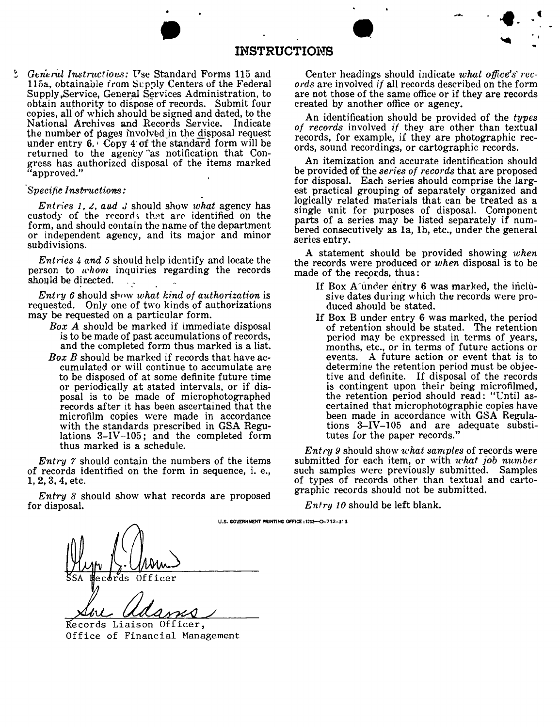|                                    |    |                       |                             |               |        |  | بعثر | $\bullet$ | $\blacksquare$ | $\bullet$      |
|------------------------------------|----|-----------------------|-----------------------------|---------------|--------|--|------|-----------|----------------|----------------|
|                                    |    | <b>INSTRUCTIONS</b>   |                             |               |        |  |      |           |                | $\blacksquare$ |
| $\sim$<br><b>Service Contracts</b> | __ | $\sim$<br>.<br>$\sim$ | $\sim$ $\sim$ $\sim$ $\sim$ | $\sim$ $\sim$ | $\sim$ |  |      |           |                |                |

115a, obtainable from Supply Centers of the Federal *ords* are involved *if* all records described on the form Supply.Service, General Services Administration, to are not those of the same office or if they are records obtain authority to dispose of records. Submit four created by another office or agency.<br>copies, all of which should be signed and dated, to the and identification should be provided. copies, all of which should be signed and dated, to the<br>
National Archives and Records Service. Indicate<br>
the number of pages involved in the disposal request<br>
under entry 6. Copy 4 of the standard form will be<br>
returned returned to the agency as notification that Con-<br>gress has authorized disposal of the items marked<br>approved."<br>be provided of the *series of records* that are proposed

Entries 1, 2, and 3 should show what agency has<br>custody of the records that are identified on the<br>form, and should contain the name of the department<br>or independent agency, and its major and minor<br>subdivisions.

person to *uhom* inquiries regarding the records made of the records, thus:<br>should be directed.

*Entry* 6 should show *what kind of authorization* is sive dates during which quested. Only one of two kinds of authorizations duced should be stated. requested. Only one of two kinds of authorizations may be requested on a particular form.

- 
- *Box B* should be marked if records that have ac-<br>cumulated or will continue to accumulate are determine the retention period must be objecrecords after it has been ascertained that the microfilm copies were made in accordance with the standards prescribed in GSA Regu-<br>lations 3-IV-105; and the completed form tutes for the paper records." lations  $3-\text{IV}-105$ ; and the completed form thus marked is <sup>a</sup> schedule. *Entry* <sup>9</sup> should show *what samples* of records were

*Entry* 7 should contain the numbers of the items submitted for each item, or with *u*hat *job number* of records identified on the form in sequence, i. e., such samples were previously submitted. Samples of records identified on the form in sequence, i. e., such samples were previously submitted. Samples 1, 2, 3, 4, etc.

*Entry* 8 should show what records are proposed. for disposal. *Entry 10* should be left blank.

General Instructions: Use Standard Forms 115 and Center headings should indicate what office's rec-

be provided of the *series* of *records* that are proposed for disposal. Each series should comprise the larg- *'Specifie Instructions:* est practical grouping of separately organized and

A statement should be provided showing *when Entries* 4 and 5 should help identify and locate the the records were produced or *when* disposal is to be

- $\sum_{\text{sw} \text{ what kind of authorization is}}$  If Box A under entry 6 was marked, the inclu-
- be requested on a particular form. If Box B under entry 6 was marked, the period *Box A* should be marked if immediate disposal of retention should be stated. The retention is to be made of past accumulations of records, is to be made of past accumulations of records, period may be expressed in terms of years, and the completed form thus marked is a list. months, etc., or in terms of future actions or cumulated or will continue to accumulate are determine the retention period must be objector-<br>to be disposed of at some definite future time time tive and definite. If disposal of the records to be disposed of at some definite future time<br>or periodically at stated intervals, or if dis-<br>is contingent upon their being microfilmed, or periodically at stated intervals, or if dis-<br>
posal is to be made of microphotographed the retention period should read: "Until asposal is to be made of microphotographed the retention period should read: "Until as-<br>records after it has been ascertained that the ertained that microphotographic copies have been made in accordance with GSA Regulations 3-IV-105 and are adequate substi-

of types of records other than textual and carto-<br>graphic records should not be submitted.

U.S. GOVERNMENT PRINTING OFFICE: 1253-O-712-313 Officer ds

Records Liaison Officer, Office of Financial Management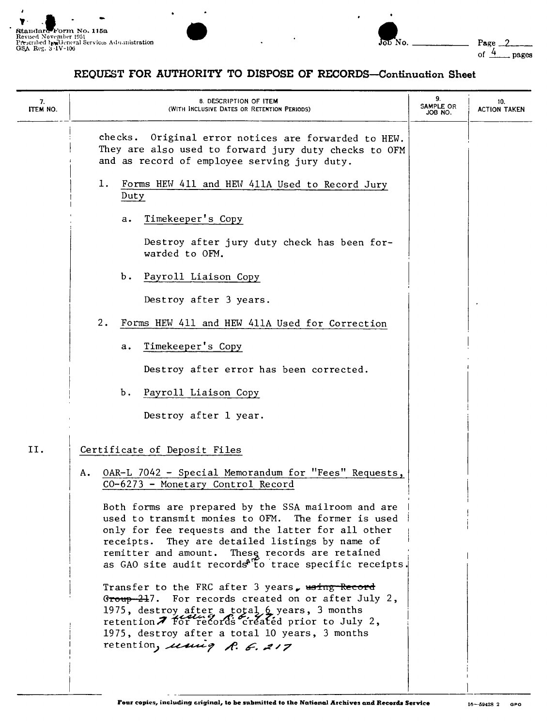

 $\ddot{\phantom{0}}$ 

*J*



## **REQUEST FOR AUTHORITY TO DISPOSE OF RECORDS-Continuation Sheet**

| 7.<br>ITEM NO. | 8. DESCRIPTION OF ITEM<br>(WITH INCLUSIVE DATES OR RETENTION PERIODS)                                                                                                                                                                                                                                                                        | 9.<br>SAMPLE OR<br>JOB NO. | 10.<br><b>ACTION TAKEN</b> |
|----------------|----------------------------------------------------------------------------------------------------------------------------------------------------------------------------------------------------------------------------------------------------------------------------------------------------------------------------------------------|----------------------------|----------------------------|
|                | checks. Original error notices are forwarded to HEW.<br>They are also used to forward jury duty checks to OFM<br>and as record of employee serving jury duty.                                                                                                                                                                                |                            |                            |
|                | 1.<br>Forms HEW 411 and HEW 411A Used to Record Jury<br>Duty                                                                                                                                                                                                                                                                                 |                            |                            |
|                | Timekeeper's Copy<br>а.                                                                                                                                                                                                                                                                                                                      |                            |                            |
|                | Destroy after jury duty check has been for-<br>warded to OFM.                                                                                                                                                                                                                                                                                |                            |                            |
|                | Ъ.<br>Payroll Liaison Copy                                                                                                                                                                                                                                                                                                                   |                            |                            |
|                | Destroy after 3 years.                                                                                                                                                                                                                                                                                                                       |                            |                            |
|                | 2.<br>Forms HEW 411 and HEW 411A Used for Correction                                                                                                                                                                                                                                                                                         |                            |                            |
|                | Timekeeper's Copy<br>a.                                                                                                                                                                                                                                                                                                                      |                            |                            |
|                | Destroy after error has been corrected.                                                                                                                                                                                                                                                                                                      |                            |                            |
|                | Ъ.<br>Payroll Liaison Copy                                                                                                                                                                                                                                                                                                                   |                            |                            |
|                | Destroy after 1 year.                                                                                                                                                                                                                                                                                                                        |                            |                            |
| II.            | Certificate of Deposit Files                                                                                                                                                                                                                                                                                                                 |                            |                            |
|                | OAR-L 7042 - Special Memorandum for "Fees" Requests,<br>Α.<br>CO-6273 - Monetary Control Record                                                                                                                                                                                                                                              |                            |                            |
|                | Both forms are prepared by the SSA mailroom and are<br>used to transmit monies to OFM. The former is used<br>only for fee requests and the latter for all other<br>receipts. They are detailed listings by name of<br>remitter and amount. These records are retained<br>as GAO site audit records <sup>AT</sup> to trace specific receipts. |                            |                            |
|                | Transfer to the FRC after 3 years, waing Record<br>Group 217. For records created on or after July 2,<br>1975, destroy after a total 6 years, 3 months<br>retention 7 for records created prior to July 2,<br>1975, destroy after a total 10 years, 3 months<br>retention, using R. E. 217                                                   |                            |                            |
|                |                                                                                                                                                                                                                                                                                                                                              |                            |                            |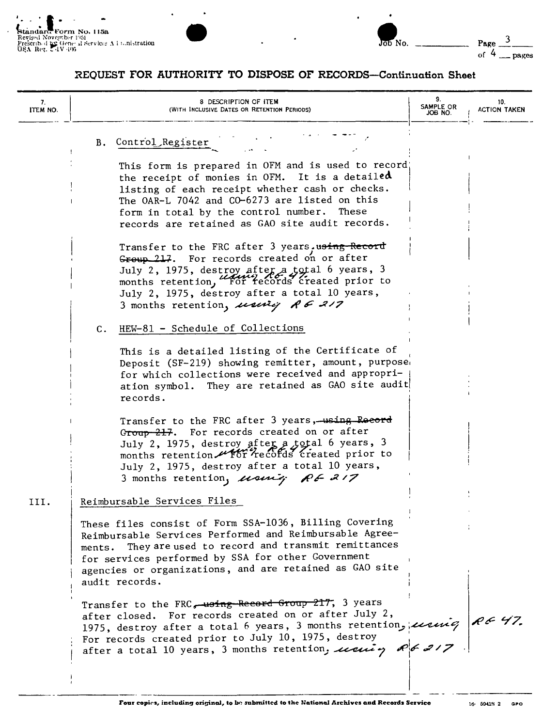



## REQUEST FOR AUTHORITY TO DISPOSE OF RECORDS-Continuation Sheet

| 7.<br>ITEM NO. | 8 DESCRIPTION OF ITEM<br>(WITH INCLUSIVE DATES OR RETENTION PERIODS)                                                                                                                                                                                                                                                              | 9.<br>SAMPLE OR<br>JOB NO. | 10.<br><b>ACTION TAKEN</b> |
|----------------|-----------------------------------------------------------------------------------------------------------------------------------------------------------------------------------------------------------------------------------------------------------------------------------------------------------------------------------|----------------------------|----------------------------|
|                | Control Register<br>B.                                                                                                                                                                                                                                                                                                            |                            |                            |
|                | This form is prepared in OFM and is used to record;<br>the receipt of monies in OFM. It is a detailed<br>listing of each receipt whether cash or checks.<br>The OAR-L 7042 and CO-6273 are listed on this<br>form in total by the control number.<br>These<br>records are retained as GAO site audit records.                     |                            |                            |
|                | Transfer to the FRC after 3 years.using-Record<br>Group 217. For records created on or after<br>July 2, 1975, destroy after a total 6 years, 3<br>months retention, "For records created prior to<br>July 2, 1975, destroy after a total 10 years,<br>3 months retention, using RE 217                                            |                            |                            |
|                | HEW-81 - Schedule of Collections<br>$\mathbf{c}$ .                                                                                                                                                                                                                                                                                |                            |                            |
|                | This is a detailed listing of the Certificate of<br>Deposit (SF-219) showing remitter, amount, purpose<br>for which collections were received and appropri-<br>ation symbol. They are retained as GAO site audit<br>records.                                                                                                      |                            |                            |
|                | Transfer to the FRC after 3 years, using Record<br>For records created on or after<br>G <del>roup 217</del> .<br>July 2, 1975, destroy after a total 6 years, 3<br>months retention utor records created prior to<br>July 2, 1975, destroy after a total 10 years,<br>3 months retention, using RE 217                            |                            |                            |
| III.           | Reimbursable Services Files                                                                                                                                                                                                                                                                                                       |                            |                            |
|                | These files consist of Form SSA-1036, Billing Covering<br>Reimbursable Services Performed and Reimbursable Agree-<br>They are used to record and transmit remittances<br>ments.<br>for services performed by SSA for other Government<br>agencies or organizations, and are retained as GAO site<br>audit records.                |                            |                            |
|                | Transfer to the FRC, using Record Group 217, 3 years<br>after closed. For records created on or after July 2,<br>1975, destroy after a total 6 years, 3 months retention, using $\theta \in 47$ .<br>For records created prior to July 10, 1975, destroy<br>after a total 10 years, 3 months retention, using $\theta \sim 217$ . |                            |                            |
|                |                                                                                                                                                                                                                                                                                                                                   |                            |                            |